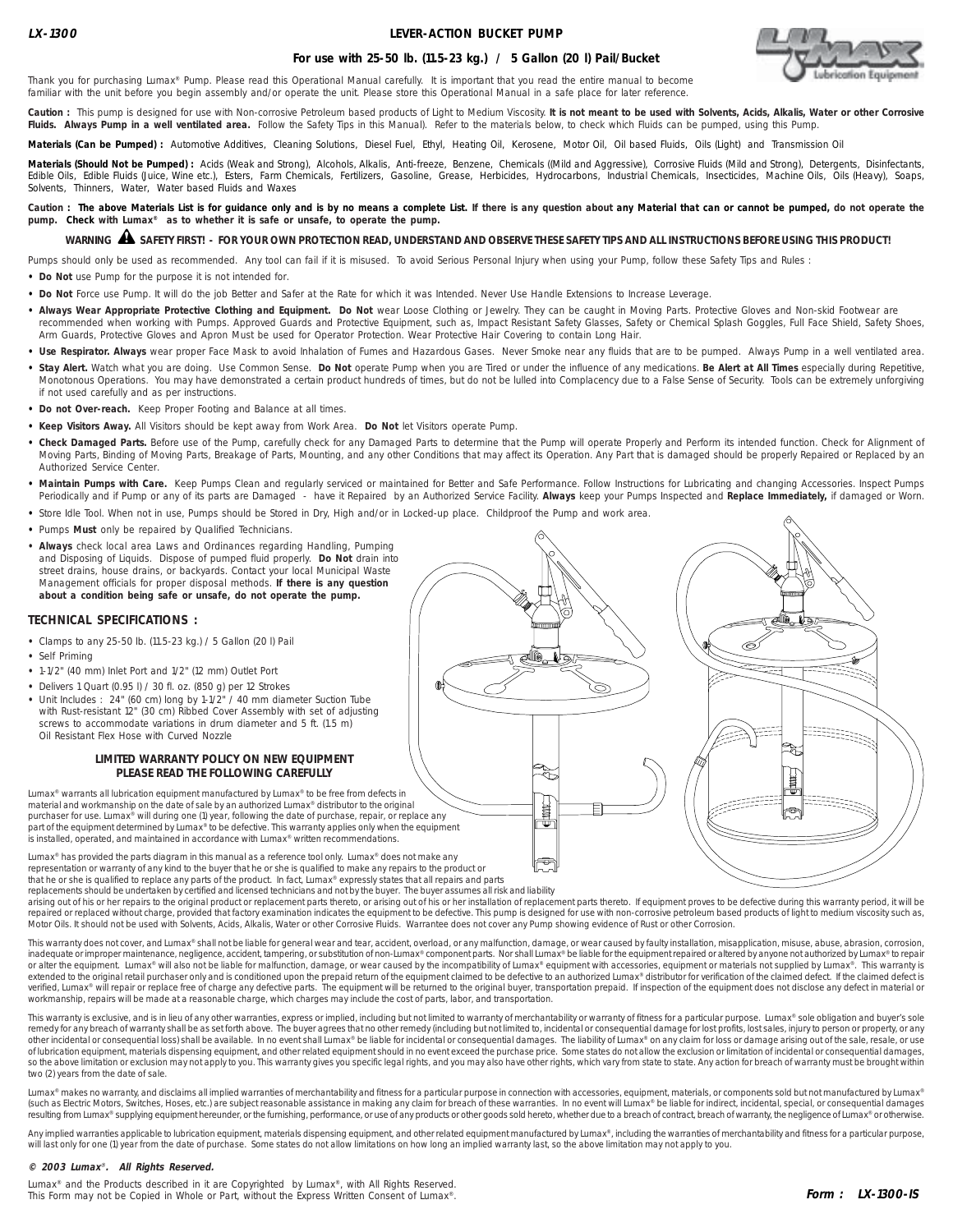## **LEVER-ACTION BUCKET PUMP**



## **For use with 25-50 lb. (11.5-23 kg.) / 5 Gallon (20 l) Pail/Bucket**

Thank you for purchasing Lumax® Pump. Please read this Operational Manual carefully. It is important that you read the entire manual to become familiar with the unit before you begin assembly and/or operate the unit. Please store this Operational Manual in a safe place for later reference.

Caution : This pump is designed for use with Non-corrosive Petroleum based products of Light to Medium Viscosity. It is not meant to be used with Solvents, Acids, Alkalis, Water or other Corrosive Fluids. Always Pump in a well ventilated area. Follow the Safety Tips in this Manual). Refer to the materials below, to check which Fluids can be pumped, using this Pump.

Materials (Can be Pumped) : Automotive Additives, Cleaning Solutions, Diesel Fuel, Ethyl, Heating Oil, Kerosene, Motor Oil, Oil based Fluids, Oils (Light) and Transmission Oil

Materials (Should Not be Pumped) : Acids (Weak and Strong), Alcohols, Alkalis, Anti-freeze, Benzene, Chemicals ((Mild and Aggressive), Corrosive Fluids (Mild and Strong), Detergents, Disinfectants, Edible Oils, Edible Fluids (Juice, Wine etc.), Esters, Farm Chemicals, Fertilizers, Gasoline, Grease, Herbicides, Hydrocarbons, Industrial Chemicals, Insecticides, Machine Oils, Oils (Heavy), Soaps, Solvents, Thinners, Water, Water based Fluids and Waxes

Caution : The above Materials List is for guidance only and is by no means a complete List. If there is any question about any Material that can or cannot be pumped, do not operate the **pump. Check with Lumax® as to whether it is safe or unsafe, to operate the pump.**

# **WARNING SAFETY FIRST! - FOR YOUR OWN PROTECTION READ, UNDERSTAND AND OBSERVE THESE SAFETY TIPS AND ALL INSTRUCTIONS BEFORE USING THIS PRODUCT!** !

Pumps should only be used as recommended. Any tool can fail if it is misused. To avoid Serious Personal Injury when using your Pump, follow these Safety Tips and Rules :

**• Do Not** use Pump for the purpose it is not intended for.

- **• Do Not** Force use Pump. It will do the job Better and Safer at the Rate for which it was Intended. Never Use Handle Extensions to Increase Leverage.
- Always Wear Appropriate Protective Clothing and Equipment. Do Not wear Loose Clothing or Jewelry. They can be caught in Moving Parts. Protective Gloves and Non-skid Footwear are recommended when working with Pumps. Approved Guards and Protective Equipment, such as, Impact Resistant Safety Glasses, Safety or Chemical Splash Goggles, Full Face Shield, Safety Shoes, Arm Guards, Protective Gloves and Apron Must be used for Operator Protection. Wear Protective Hair Covering to contain Long Hair.
- . Use Respirator. Always wear proper Face Mask to avoid Inhalation of Fumes and Hazardous Gases. Never Smoke near any fluids that are to be pumped. Always Pump in a well ventilated area.
- **• Stay Alert.** Watch what you are doing. Use Common Sense. **Do Not** operate Pump when you are Tired or under the influence of any medications. **Be Alert at All Times** especially during Repetitive, Monotonous Operations. You may have demonstrated a certain product hundreds of times, but do not be lulled into Complacency due to a False Sense of Security. Tools can be extremely unforgiving if not used carefully and as per instructions.
- **• Do not Over-reach.** Keep Proper Footing and Balance at all times.
- **• Keep Visitors Away.** All Visitors should be kept away from Work Area. **Do Not** let Visitors operate Pump.
- **• Check Damaged Parts.** Before use of the Pump, carefully check for any Damaged Parts to determine that the Pump will operate Properly and Perform its intended function. Check for Alignment of Moving Parts, Binding of Moving Parts, Breakage of Parts, Mounting, and any other Conditions that may affect its Operation. Any Part that is damaged should be properly Repaired or Replaced by an Authorized Service Center.
- Maintain Pumps with Care. Keep Pumps Clean and regularly serviced or maintained for Better and Safe Performance. Follow Instructions for Lubricating and changing Accessories. Inspect Pumps Periodically and if Pump or any of its parts are Damaged - have it Repaired by an Authorized Service Facility. **Always** keep your Pumps Inspected and **Replace Immediately,** if damaged or Worn.
- **•** Store Idle Tool. When not in use, Pumps should be Stored in Dry, High and/or in Locked-up place. Childproof the Pump and work area.
- **•** Pumps **Must** only be repaired by Qualified Technicians.
- **Always** check local area Laws and Ordinances regarding Handling, Pumping and Disposing of Liquids. Dispose of pumped fluid properly. **Do Not** drain into street drains, house drains, or backyards. Contact your local Municipal Waste Management officials for proper disposal methods. **If there is any question about a condition being safe or unsafe, do not operate the pump.**

### **TECHNICAL SPECIFICATIONS :**

- **•** Clamps to any 25-50 lb. (11.5-23 kg.) / 5 Gallon (20 l) Pail
- **•** Self Priming
- **•** 1-1/2" (40 mm) Inlet Port and 1/2" (12 mm) Outlet Port
- **•** Delivers 1 Quart (0.95 l) / 30 fl. oz. (850 g) per 12 Strokes
- **•** Unit Includes : 24" (60 cm) long by 1-1/2" / 40 mm diameter Suction Tube with Rust-resistant 12" (30 cm) Ribbed Cover Assembly with set of adjusting screws to accommodate variations in drum diameter and 5 ft. (1.5 m) Oil Resistant Flex Hose with Curved Nozzle

### **LIMITED WARRANTY POLICY ON NEW EQUIPMENT PLEASE READ THE FOLLOWING CAREFULLY**

Lumax® warrants all lubrication equipment manufactured by Lumax® to be free from defects in material and workmanship on the date of sale by an authorized Lumax® distributor to the original purchaser for use. Lumax® will during one (1) year, following the date of purchase, repair, or replace any part of the equipment determined by Lumax® to be defective. This warranty applies only when the equipment is installed, operated, and maintained in accordance with Lumax® written recommendations.

Lumax® has provided the parts diagram in this manual as a reference tool only. Lumax® does not make any representation or warranty of any kind to the buyer that he or she is qualified to make any repairs to the product or that he or she is qualified to replace any parts of the product. In fact, Lumax® expressly states that all repairs and parts replacements should be undertaken by certified and licensed technicians and not by the buyer. The buyer assumes all risk and liability



arising out of his or her repairs to the original product or replacement parts thereto, or arising out of his or her installation of replacement parts thereto. If equipment proves to be defective during this warranty perio repaired or replaced without charge, provided that factory examination indicates the equipment to be defective. This pump is designed for use with non-corrosive petroleum based products of light to medium viscosity such as

This warranty does not cover, and Lumax® shall not be liable for general wear and tear, accident, overload, or any malfunction, damage, or wear caused by faulty installation, misapplication, misuse, abuse, abrasion, corros inadequate or improper maintenance, negligence, accident, tampering, or substitution of non-Lumax® component parts. Nor shall Lumax® be liable for the equipment repaired or altered by anyone not authorized by Lumax® to rep extended to the original retail purchaser only and is conditioned upon the prepaid return of the equipment claimed to be defective to an authorized Lumax® distributor for verification of the claimed defect. If the claimed verified, Lumax® will repair or replace free of charge any defective parts. The equipment will be returned to the original buyer, transportation prepaid. If inspection of the equipment does not disclose any defect in mater

This warranty is exclusive, and is in lieu of any other warranties, express or implied, including but not limited to warranty of merchantability or warranty of fitness for a particular purpose. Lumax® sole obligation and b remedy for any breach of warranty shall be as set forth above. The buyer agrees that no other remedy (including but not limited to, incidental or consequential damage for lost profits, lost sales, injury to person or prope of lubrication equipment, materials dispensing equipment, and other related equipment should in no event exceed the purchase price. Some states do not allow the exclusion or limitation of incidental or consequential damages, so the above limitation or exclusion may not apply to you. This warranty gives you specific legal rights, and you may also have other rights, which vary from state to state. Any action for breach of warranty must be brough two (2) years from the date of sale.

Lumax® makes no warranty, and disclaims all implied warranties of merchantability and fitness for a particular purpose in connection with accessories, equipment, materials, or components sold but not manufactured by Lumax® (such as Electric Motors, Switches, Hoses, etc.) are subject reasonable assistance in making any claim for breach of these warranties. In no event will Lumax® be liable for indirect, incidental, special, or consequential d resulting from Lumax® supplying equipment hereunder, or the furnishing, performance, or use of any products or other goods sold hereto, whether due to a breach of contract, breach of warranty, the negligence of Lumax® or o

Any implied warranties applicable to lubrication equipment, materials dispensing equipment, and other related equipment manufactured by Lumax®, including the warranties of merchantability and fitness for a particular purpo will last only for one (1) year from the date of purchase. Some states do not allow limitations on how long an implied warranty last, so the above limitation may not apply to you.

#### **© 2003 Lumax**® **. All Rights Reserved.**

Lumax<sup>®</sup> and the Products described in it are Copyrighted by Lumax<sup>®</sup>, with All Rights Reserved. This Form may not be Copied in Whole or Part, without the Express Written Consent of Lumax®.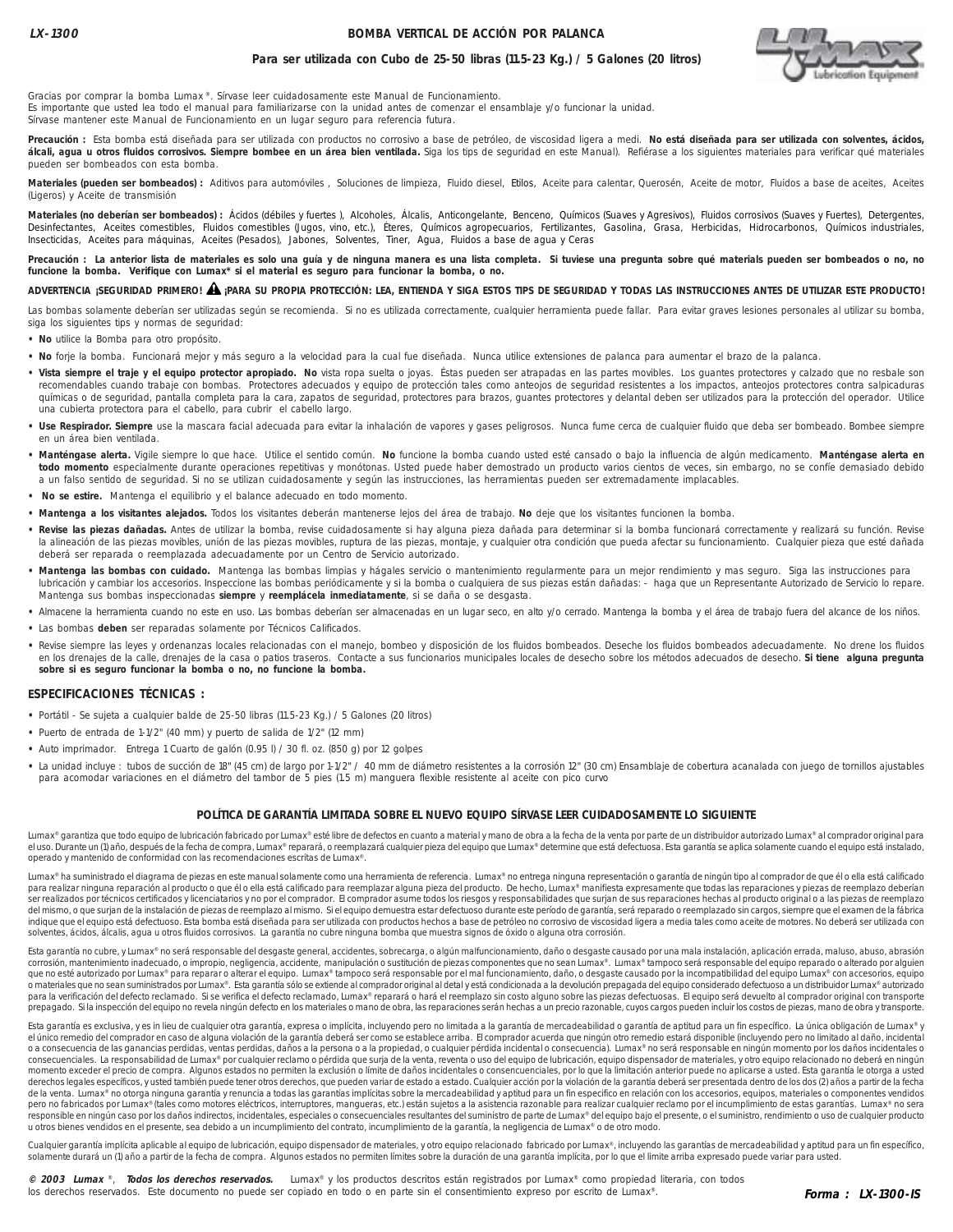## **BOMBA VERTICAL DE ACCIÓN POR PALANCA**



## **Para ser utilizada con Cubo de 25-50 libras (11.5-23 Kg.) / 5 Galones (20 litros)**

Gracias por comprar la bomba Lumax ®. Sírvase leer cuidadosamente este Manual de Funcionamiento. Es importante que usted lea todo el manual para familiarizarse con la unidad antes de comenzar el ensamblaje y/o funcionar la unidad. Sírvase mantener este Manual de Funcionamiento en un lugar seguro para referencia futura.

**Precaución :** Esta bomba está diseñada para ser utilizada con productos no corrosivo a base de petróleo, de viscosidad ligera a medi. **No está diseñada para ser utilizada con solventes, ácidos, álcali, agua u otros fluidos corrosivos. Siempre bombee en un área bien ventilada.** Siga los tips de seguridad en este Manual). Refiérase a los siguientes materiales para verificar qué materiales pueden ser bombeados con esta bomba.

**Materiales (pueden ser bombeados) :** Aditivos para automóviles , Soluciones de limpieza, Fluido diesel, Etilos, Aceite para calentar, Querosén, Aceite de motor, Fluidos a base de aceites, Aceites (Ligeros) y Aceite de transmisión

Materiales (no deberían ser bombeados) : Ácidos (débiles y fuertes), Alcoholes, Álcalis, Anticongelante, Benceno, Químicos (Suaves y Agresivos), Fluidos corrosivos (Suaves y Fuertes), Detergentes, Desinfectantes, Aceites comestibles, Fluidos comestibles (Jugos, vino, etc.), Éteres, Químicos agropecuarios, Fertilizantes, Gasolina, Grasa, Herbicidas, Hidrocarbonos, Químicos industriales, Insecticidas, Aceites para máquinas, Aceites (Pesados), Jabones, Solventes, Tiner, Agua, Fluidos a base de agua y Ceras

**Precaución : La anterior lista de materiales es solo una guía y de ninguna manera es una lista completa. Si tuviese una pregunta sobre qué materials pueden ser bombeados o no, no funcione la bomba. Verifique con Lumax\* si el material es seguro para funcionar la bomba, o no.**

## **ADVERTENCIA ¡SEGURIDAD PRIMERO! ¡PARA SU PROPIA PROTECCIÓN: LEA, ENTIENDA Y SIGA ESTOS TIPS DE SEGURIDAD Y TODAS LAS INSTRUCCIONES ANTES DE UTILIZAR ESTE PRODUCTO!** !

Las bombas solamente deberían ser utilizadas según se recomienda. Si no es utilizada correctamente, cualquier herramienta puede fallar. Para evitar graves lesiones personales al utilizar su bomba, siga los siguientes tips y normas de seguridad:

- **No** utilice la Bomba para otro propósito.
- **No** forje la bomba. Funcionará mejor y más seguro a la velocidad para la cual fue diseñada. Nunca utilice extensiones de palanca para aumentar el brazo de la palanca.
- · Vista siempre el traje y el equipo protector apropiado. No vista ropa suelta o joyas. Éstas pueden ser atrapadas en las partes movibles. Los guantes protectores y calzado que no resbale son recomendables cuando trabaje con bombas. Protectores adecuados y equipo de protección tales como anteojos de seguridad resistentes a los impactos, anteojos protectores contra salpicaduras químicas o de seguridad, pantalla completa para la cara, zapatos de seguridad, protectores para brazos, guantes protectores y delantal deben ser utilizados para la protección del operador. Utilice una cubierta protectora para el cabello, para cubrir el cabello largo.
- **Use Respirador. Siempre** use la mascara facial adecuada para evitar la inhalación de vapores y gases peligrosos. Nunca fume cerca de cualquier fluido que deba ser bombeado. Bombee siempre en un área bien ventilada.
- **Manténgase alerta.** Vigile siempre lo que hace. Utilice el sentido común. **No** funcione la bomba cuando usted esté cansado o bajo la influencia de algún medicamento. **Manténgase alerta en todo momento** especialmente durante operaciones repetitivas y monótonas. Usted puede haber demostrado un producto varios cientos de veces, sin embargo, no se confíe demasiado debido a un falso sentido de seguridad. Si no se utilizan cuidadosamente y según las instrucciones, las herramientas pueden ser extremadamente implacables.
- **No se estire.** Mantenga el equilibrio y el balance adecuado en todo momento.
- **Mantenga a los visitantes alejados.** Todos los visitantes deberán mantenerse lejos del área de trabajo. **No** deje que los visitantes funcionen la bomba.
- **Revise las piezas dañadas.** Antes de utilizar la bomba, revise cuidadosamente si hay alguna pieza dañada para determinar si la bomba funcionará correctamente y realizará su función. Revise la alineación de las piezas movibles, unión de las piezas movibles, ruptura de las piezas, montaje, y cualquier otra condición que pueda afectar su funcionamiento. Cualquier pieza que esté dañada deberá ser reparada o reemplazada adecuadamente por un Centro de Servicio autorizado.
- **Mantenga las bombas con cuidado.** Mantenga las bombas limpias y hágales servicio o mantenimiento regularmente para un mejor rendimiento y mas seguro. Siga las instrucciones para lubricación y cambiar los accesorios. Inspeccione las bombas periódicamente y si la bomba o cualquiera de sus piezas están dañadas: - haga que un Representante Autorizado de Servicio lo repare. Mantenga sus bombas inspeccionadas **siempre** y **reemplácela inmediatamente**, si se daña o se desgasta.
- **•** Almacene la herramienta cuando no este en uso. Las bombas deberían ser almacenadas en un lugar seco, en alto y/o cerrado. Mantenga la bomba y el área de trabajo fuera del alcance de los niños.
- **•** Las bombas **deben** ser reparadas solamente por Técnicos Calificados.
- **•** Revise siempre las leyes y ordenanzas locales relacionadas con el manejo, bombeo y disposición de los fluidos bombeados. Deseche los fluidos bombeados adecuadamente. No drene los fluidos en los drenajes de la calle, drenajes de la casa o patios traseros. Contacte a sus funcionarios municipales locales de desecho sobre los métodos adecuados de desecho. **Si tiene alguna pregunta sobre si es seguro funcionar la bomba o no, no funcione la bomba.**

### **ESPECIFICACIONES TÉCNICAS :**

- **•** Portátil Se sujeta a cualquier balde de 25-50 libras (11.5-23 Kg.) / 5 Galones (20 litros)
- **•** Puerto de entrada de 1-1/2" (40 mm) y puerto de salida de 1/2" (12 mm)
- Auto imprimador. Entrega 1 Cuarto de galón (0.95 l) / 30 fl. oz. (850 g) por 12 golpes
- **•** La unidad incluye : tubos de succión de 18" (45 cm) de largo por 1-1/2" / 40 mm de diámetro resistentes a la corrosión 12" (30 cm) Ensamblaje de cobertura acanalada con juego de tornillos ajustables para acomodar variaciones en el diámetro del tambor de 5 pies (1.5 m) manguera flexible resistente al aceite con pico curvo

### **POLÍTICA DE GARANTÍA LIMITADA SOBRE EL NUEVO EQUIPO SÍRVASE LEER CUIDADOSAMENTE LO SIGUIENTE**

Lumax® garantiza que todo equipo de lubricación fabricado por Lumax® esté libre de defectos en cuanto a material y mano de obra a la fecha de la venta por parte de un distribuidor autorizado Lumax® al comprador original pa el uso. Durante un (1) año, después de la fecha de compra, Lumax® reparará, o reemplazará cualquier pieza del equipo que Lumax® determine que está defectuosa. Esta garantía se aplica solamente cuando el equipo está instala operado y mantenido de conformidad con las recomendaciones escritas de Lumax®.

Lumax® ha suministrado el diagrama de piezas en este manual solamente como una herramienta de referencia. Lumax® no entrega ninguna representación o garantía de ningún tipo al comprador de que él o ella está calificado para realizar ninguna reparación al producto o que él o ella está calificado para reemplazar alguna pieza del producto. De hecho, Lumax® manifiesta expresamente que todas las reparaciones y piezas de reemplazo deberían ser realizados por técnicos certificados y licenciatarios y no por el comprador. El comprador asume todos los riesgos y responsabilidades que surjan de sus reparaciones hechas al producto original o a las piezas de reemplazo del mismo, o que surjan de la instalación de piezas de reemplazo al mismo. Si el equipo demuestra estar defectuoso durante este período de garantía, será reparado o reemplazado sin cargos, siempre que el examen de la fábri indique que el equipo está defectuoso. Esta bomba está diseñada para ser utilizada con productos hechos a base de petróleo no corrosivo de viscosidad ligera a media tales como aceite de motores. No deberá ser utilizada con

Esta garantía no cubre, y Lumax® no será responsable del desgaste general, accidentes, sobrecarga, o algún malfuncionamiento, daño o desgaste causado por una mala instalación, aplicación errada, maluso, abuso, abuso, abuso corrosión, mantenimiento inadecuado, o impropio, negligencia, accidente, manipulación o sustitución de piezas componentes que no sean Lumax®. Lumax® tampoco será responsable del equipo reparado o alterado por alguien que no esté autorizado por Lumax® para reparar o alterar el equipo. Lumax® tampoco será responsable por el mal funcionamiento, daño, o desgaste causado por la incompatibilidad del equipo Lumax® con accesorios, equipo o materiales que no sean suministrados por Lumax®. Esta garantía sólo se extiende al comprador original al detal y está condicionada a la devolución prepagada del equipo considerado defectuoso a un distribuidor Lumax® auto para la verificación del defecto reclamado. Si se verifica el defecto reclamado, Lumax® reparará o hará el reemplazo sin costo alguno sobre las piezas defectuosas. El equipo será devuelto al comprador original con transpor

Esta garantía es exclusiva, y es in lieu de cualquier otra garantía, expresa o implícita, incluyendo pero no limitada a la garantía de mercadeabilidad o garantía de aptitud para un fin específico. La única obligación de Lu el único remedio del comprador en caso de alguna violación de la garantía deberá ser como se establece arriba. El comprador acuerda que ningún otro remedio estará disponible (incluyendo pero no limitado al daño, incidental o a consecuencia de las ganancias perdidas, ventas perdidas, daños a la persona o a la propiedad, o cualquier pérdida incidental o consecuencia). Lumax® no será responsable en ningún momento por los daños incidentales o consecuenciales. La responsabilidad de Lumax® por cualquier reclamo o pérdida que surja de la venta, reventa o uso del equipo de lubricación, equipo dispensador de materiales, y otro equipo relacionado no deberá en ningún momento exceder el precio de compra. Algunos estados no permiten la exclusión o límite de daños incidentales o consencuenciales, por lo que la limitación anterior puede no aplicarse a usted. Esta garantía le otorga a usted derechos legales específicos, y usted también puede tener otros derechos, que pueden variar de estado a estado. Cualquier acción por la violación de la garantía deberá ser presentada dentro de los dos (2) años a partir de de la venta. Lumax® no otorga ninguna garantía y renuncia a todas las garantías implícitas sobre la mercadeabilidad y aptitud para un fin especifico en relación con los accesorios, equipos, materiales o componentes vendidos pero no fabricados por Lumax® (tales como motores eléctricos, interruptores, mangueras, etc.) están sujetos a la asistencia razonable para realizar cualquier reclamo por el incumplimiento de estas garantías. Lumax® no sera responsible en ningún caso por los daños indirectos, incidentales, especiales o consecuenciales resultantes del suministro de parte de Lumax® del equipo bajo el presente, o el suministro, rendimiento o uso de cualquier pro u otros bienes vendidos en el presente, sea debido a un incumplimiento del contrato, incumplimiento de la garantía, la negligencia de Lumax® o de otro modo.

Cualquier garantía implícita aplicable al equipo de lubricación, equipo dispensador de materiales, y otro equipo relacionado fabricado por Lumax®, incluyendo las garantías de mercadeabilidad y aptitud para un fin específic solamente durará un (1) año a partir de la fecha de compra. Algunos estados no permiten límites sobre la duración de una garantía implícita, por lo que el limite arriba expresado puede variar para usted.

**© 2003 Lumax** ®, **Todos los derechos reservados.** Lumax® y los productos descritos están registrados por Lumax® como propiedad literaria, con todos los derechos reservados. Este documento no puede ser copiado en todo o en parte sin el consentimiento expreso por escrito de Lumax®.